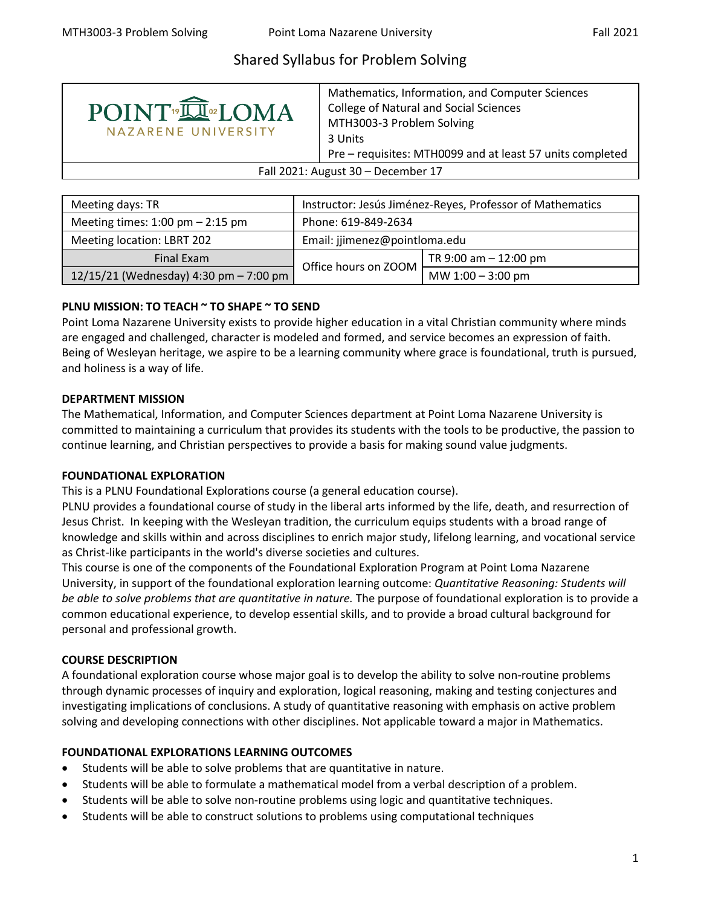# Shared Syllabus for Problem Solving



Mathematics, Information, and Computer Sciences College of Natural and Social Sciences MTH3003-3 Problem Solving 3 Units Pre – requisites: MTH0099 and at least 57 units completed

Fall 2021: August 30 – December 17

| Meeting days: TR                       | Instructor: Jesús Jiménez-Reyes, Professor of Mathematics |                          |  |
|----------------------------------------|-----------------------------------------------------------|--------------------------|--|
| Meeting times: $1:00$ pm $- 2:15$ pm   | Phone: 619-849-2634                                       |                          |  |
| Meeting location: LBRT 202             | Email: jjimenez@pointloma.edu                             |                          |  |
| Final Exam                             |                                                           | TR $9:00$ am $-12:00$ pm |  |
| 12/15/21 (Wednesday) 4:30 pm - 7:00 pm | Office hours on ZOOM                                      | MW $1:00 - 3:00$ pm      |  |

## **PLNU MISSION: TO TEACH ~ TO SHAPE ~ TO SEND**

Point Loma Nazarene University exists to provide higher education in a vital Christian community where minds are engaged and challenged, character is modeled and formed, and service becomes an expression of faith. Being of Wesleyan heritage, we aspire to be a learning community where grace is foundational, truth is pursued, and holiness is a way of life.

## **DEPARTMENT MISSION**

The Mathematical, Information, and Computer Sciences department at Point Loma Nazarene University is committed to maintaining a curriculum that provides its students with the tools to be productive, the passion to continue learning, and Christian perspectives to provide a basis for making sound value judgments.

## **FOUNDATIONAL EXPLORATION**

This is a PLNU Foundational Explorations course (a general education course).

PLNU provides a foundational course of study in the liberal arts informed by the life, death, and resurrection of Jesus Christ. In keeping with the Wesleyan tradition, the curriculum equips students with a broad range of knowledge and skills within and across disciplines to enrich major study, lifelong learning, and vocational service as Christ-like participants in the world's diverse societies and cultures.

This course is one of the components of the Foundational Exploration Program at Point Loma Nazarene University, in support of the foundational exploration learning outcome: *Quantitative Reasoning: Students will be able to solve problems that are quantitative in nature.* The purpose of foundational exploration is to provide a common educational experience, to develop essential skills, and to provide a broad cultural background for personal and professional growth.

## **COURSE DESCRIPTION**

A foundational exploration course whose major goal is to develop the ability to solve non-routine problems through dynamic processes of inquiry and exploration, logical reasoning, making and testing conjectures and investigating implications of conclusions. A study of quantitative reasoning with emphasis on active problem solving and developing connections with other disciplines. Not applicable toward a major in Mathematics.

## **FOUNDATIONAL EXPLORATIONS LEARNING OUTCOMES**

- Students will be able to solve problems that are quantitative in nature.
- Students will be able to formulate a mathematical model from a verbal description of a problem.
- Students will be able to solve non-routine problems using logic and quantitative techniques.
- Students will be able to construct solutions to problems using computational techniques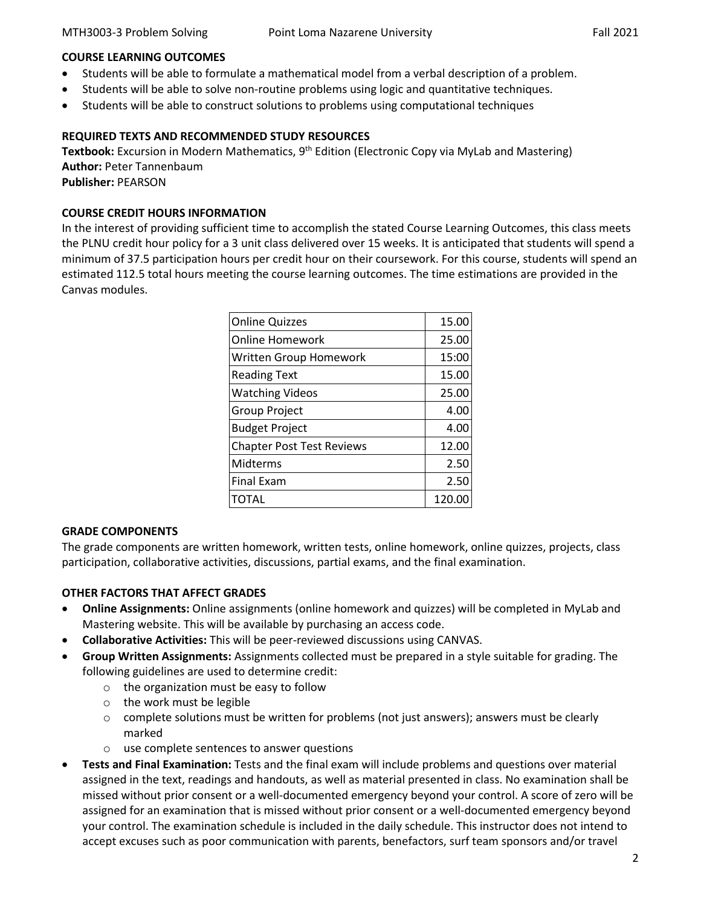#### **COURSE LEARNING OUTCOMES**

- Students will be able to formulate a mathematical model from a verbal description of a problem.
- Students will be able to solve non-routine problems using logic and quantitative techniques.
- Students will be able to construct solutions to problems using computational techniques

#### **REQUIRED TEXTS AND RECOMMENDED STUDY RESOURCES**

**Textbook:** Excursion in Modern Mathematics, 9<sup>th</sup> Edition (Electronic Copy via MyLab and Mastering) **Author:** Peter Tannenbaum

**Publisher:** PEARSON

#### **COURSE CREDIT HOURS INFORMATION**

In the interest of providing sufficient time to accomplish the stated Course Learning Outcomes, this class meets the PLNU credit hour policy for a 3 unit class delivered over 15 weeks. It is anticipated that students will spend a minimum of 37.5 participation hours per credit hour on their coursework. For this course, students will spend an estimated 112.5 total hours meeting the course learning outcomes. The time estimations are provided in the Canvas modules.

| <b>Online Quizzes</b>            | 15.00  |
|----------------------------------|--------|
| <b>Online Homework</b>           | 25.00  |
| <b>Written Group Homework</b>    | 15:00  |
| <b>Reading Text</b>              | 15.00  |
| <b>Watching Videos</b>           | 25.00  |
| <b>Group Project</b>             | 4.00   |
| <b>Budget Project</b>            | 4.00   |
| <b>Chapter Post Test Reviews</b> | 12.00  |
| Midterms                         | 2.50   |
| <b>Final Exam</b>                | 2.50   |
| TOTAL                            | 120.00 |

#### **GRADE COMPONENTS**

The grade components are written homework, written tests, online homework, online quizzes, projects, class participation, collaborative activities, discussions, partial exams, and the final examination.

## **OTHER FACTORS THAT AFFECT GRADES**

- **Online Assignments:** Online assignments (online homework and quizzes) will be completed in MyLab and Mastering website. This will be available by purchasing an access code.
- **Collaborative Activities:** This will be peer-reviewed discussions using CANVAS.
- **Group Written Assignments:** Assignments collected must be prepared in a style suitable for grading. The following guidelines are used to determine credit:
	- o the organization must be easy to follow
	- o the work must be legible
	- $\circ$  complete solutions must be written for problems (not just answers); answers must be clearly marked
	- o use complete sentences to answer questions
- **Tests and Final Examination:** Tests and the final exam will include problems and questions over material assigned in the text, readings and handouts, as well as material presented in class. No examination shall be missed without prior consent or a well-documented emergency beyond your control. A score of zero will be assigned for an examination that is missed without prior consent or a well-documented emergency beyond your control. The examination schedule is included in the daily schedule. This instructor does not intend to accept excuses such as poor communication with parents, benefactors, surf team sponsors and/or travel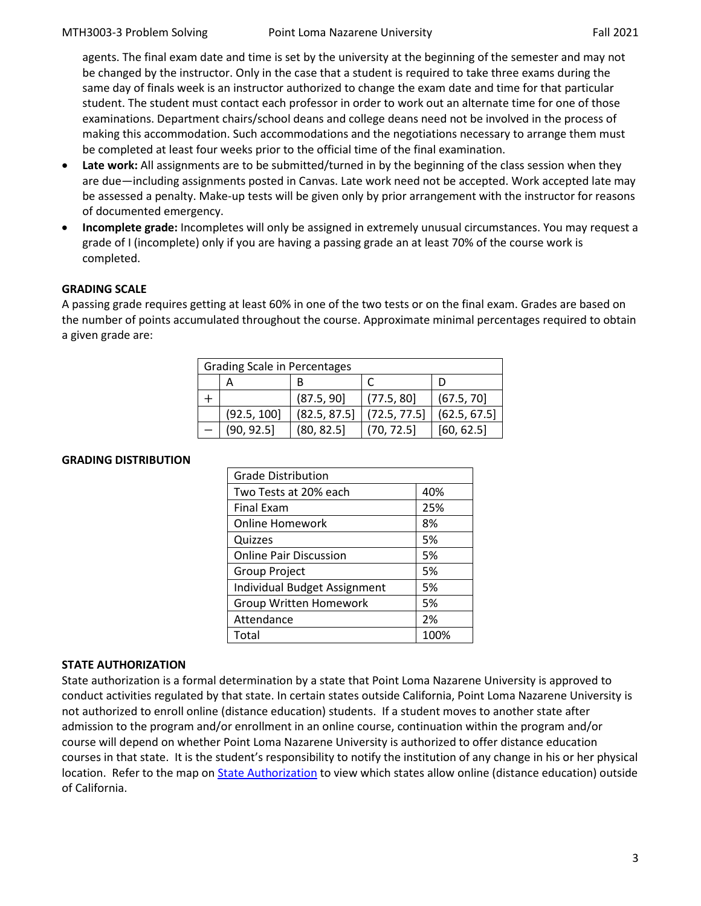agents. The final exam date and time is set by the university at the beginning of the semester and may not be changed by the instructor. Only in the case that a student is required to take three exams during the same day of finals week is an instructor authorized to change the exam date and time for that particular student. The student must contact each professor in order to work out an alternate time for one of those examinations. Department chairs/school deans and college deans need not be involved in the process of making this accommodation. Such accommodations and the negotiations necessary to arrange them must be completed at least four weeks prior to the official time of the final examination.

- Late work: All assignments are to be submitted/turned in by the beginning of the class session when they are due—including assignments posted in Canvas. Late work need not be accepted. Work accepted late may be assessed a penalty. Make-up tests will be given only by prior arrangement with the instructor for reasons of documented emergency.
- **Incomplete grade:** Incompletes will only be assigned in extremely unusual circumstances. You may request a grade of I (incomplete) only if you are having a passing grade an at least 70% of the course work is completed.

## **GRADING SCALE**

A passing grade requires getting at least 60% in one of the two tests or on the final exam. Grades are based on the number of points accumulated throughout the course. Approximate minimal percentages required to obtain a given grade are:

| <b>Grading Scale in Percentages</b> |             |              |              |              |
|-------------------------------------|-------------|--------------|--------------|--------------|
|                                     |             | B            |              |              |
|                                     |             | (87.5, 90]   | (77.5, 80)   | (67.5, 70)   |
|                                     | (92.5, 100] | (82.5, 87.5) | (72.5, 77.5) | (62.5, 67.5) |
|                                     | (90, 92.5)  | (80, 82.5)   | (70, 72.5)   | [60, 62.5]   |

#### **GRADING DISTRIBUTION**

| <b>Grade Distribution</b>     |      |  |  |
|-------------------------------|------|--|--|
| Two Tests at 20% each         | 40%  |  |  |
| <b>Final Exam</b>             | 25%  |  |  |
| <b>Online Homework</b>        | 8%   |  |  |
| Quizzes                       | 5%   |  |  |
| <b>Online Pair Discussion</b> | 5%   |  |  |
| <b>Group Project</b>          | 5%   |  |  |
| Individual Budget Assignment  | 5%   |  |  |
| <b>Group Written Homework</b> | 5%   |  |  |
| Attendance                    | 2%   |  |  |
| Total                         | 100% |  |  |

#### **STATE AUTHORIZATION**

State authorization is a formal determination by a state that Point Loma Nazarene University is approved to conduct activities regulated by that state. In certain states outside California, Point Loma Nazarene University is not authorized to enroll online (distance education) students. If a student moves to another state after admission to the program and/or enrollment in an online course, continuation within the program and/or course will depend on whether Point Loma Nazarene University is authorized to offer distance education courses in that state. It is the student's responsibility to notify the institution of any change in his or her physical location. Refer to the map on [State Authorization](https://www.pointloma.edu/offices/office-institutional-effectiveness-research/disclosures) to view which states allow online (distance education) outside of California.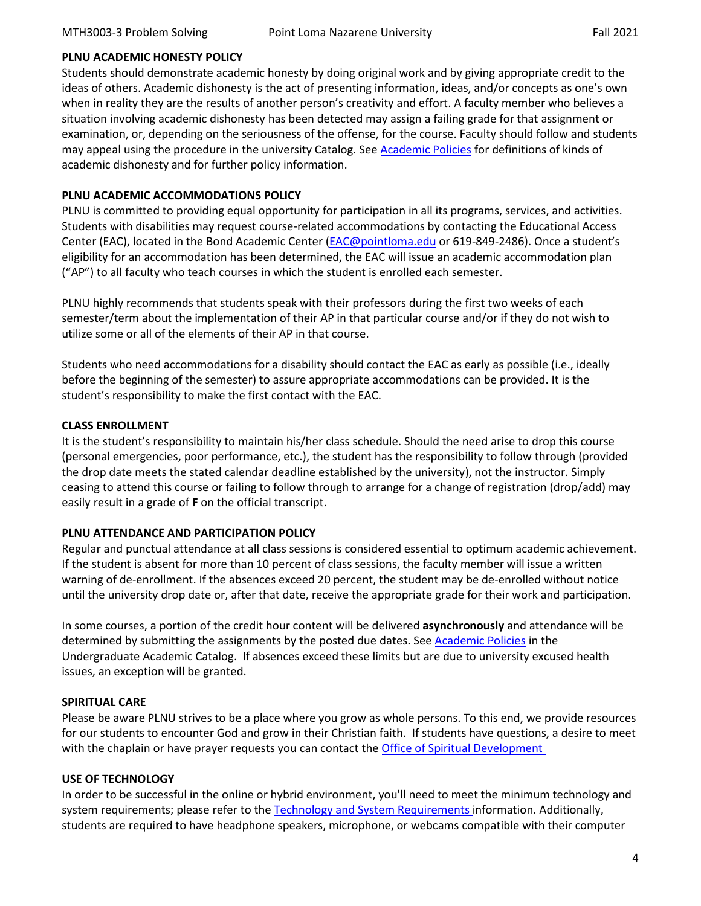#### **PLNU ACADEMIC HONESTY POLICY**

Students should demonstrate academic honesty by doing original work and by giving appropriate credit to the ideas of others. Academic dishonesty is the act of presenting information, ideas, and/or concepts as one's own when in reality they are the results of another person's creativity and effort. A faculty member who believes a situation involving academic dishonesty has been detected may assign a failing grade for that assignment or examination, or, depending on the seriousness of the offense, for the course. Faculty should follow and students may appeal using the procedure in the university Catalog. See [Academic Policies](http://catalog.pointloma.edu/content.php?catoid=18&navoid=1278) for definitions of kinds of academic dishonesty and for further policy information.

#### **PLNU ACADEMIC ACCOMMODATIONS POLICY**

PLNU is committed to providing equal opportunity for participation in all its programs, services, and activities. Students with disabilities may request course-related accommodations by contacting the Educational Access Center (EAC), located in the Bond Academic Center [\(EAC@pointloma.edu](mailto:EAC@pointloma.edu) or 619-849-2486). Once a student's eligibility for an accommodation has been determined, the EAC will issue an academic accommodation plan ("AP") to all faculty who teach courses in which the student is enrolled each semester.

PLNU highly recommends that students speak with their professors during the first two weeks of each semester/term about the implementation of their AP in that particular course and/or if they do not wish to utilize some or all of the elements of their AP in that course.

Students who need accommodations for a disability should contact the EAC as early as possible (i.e., ideally before the beginning of the semester) to assure appropriate accommodations can be provided. It is the student's responsibility to make the first contact with the EAC.

#### **CLASS ENROLLMENT**

It is the student's responsibility to maintain his/her class schedule. Should the need arise to drop this course (personal emergencies, poor performance, etc.), the student has the responsibility to follow through (provided the drop date meets the stated calendar deadline established by the university), not the instructor. Simply ceasing to attend this course or failing to follow through to arrange for a change of registration (drop/add) may easily result in a grade of **F** on the official transcript.

#### **PLNU ATTENDANCE AND PARTICIPATION POLICY**

Regular and punctual attendance at all class sessions is considered essential to optimum academic achievement. If the student is absent for more than 10 percent of class sessions, the faculty member will issue a written warning of de-enrollment. If the absences exceed 20 percent, the student may be de-enrolled without notice until the university drop date or, after that date, receive the appropriate grade for their work and participation.

In some courses, a portion of the credit hour content will be delivered **asynchronously** and attendance will be determined by submitting the assignments by the posted due dates. See [Academic Policies](https://catalog.pointloma.edu/content.php?catoid=52&navoid=2919#Academic_Honesty) in the Undergraduate Academic Catalog. If absences exceed these limits but are due to university excused health issues, an exception will be granted.

#### **SPIRITUAL CARE**

Please be aware PLNU strives to be a place where you grow as whole persons. To this end, we provide resources for our students to encounter God and grow in their Christian faith. If students have questions, a desire to meet with the chaplain or have prayer requests you can contact the **Office of Spiritual Development** 

#### **USE OF TECHNOLOGY**

In order to be successful in the online or hybrid environment, you'll need to meet the minimum technology and system requirements; please refer to the [Technology and System Requirements i](https://help.pointloma.edu/TDClient/1808/Portal/KB/ArticleDet?ID=108349)nformation. Additionally, students are required to have headphone speakers, microphone, or webcams compatible with their computer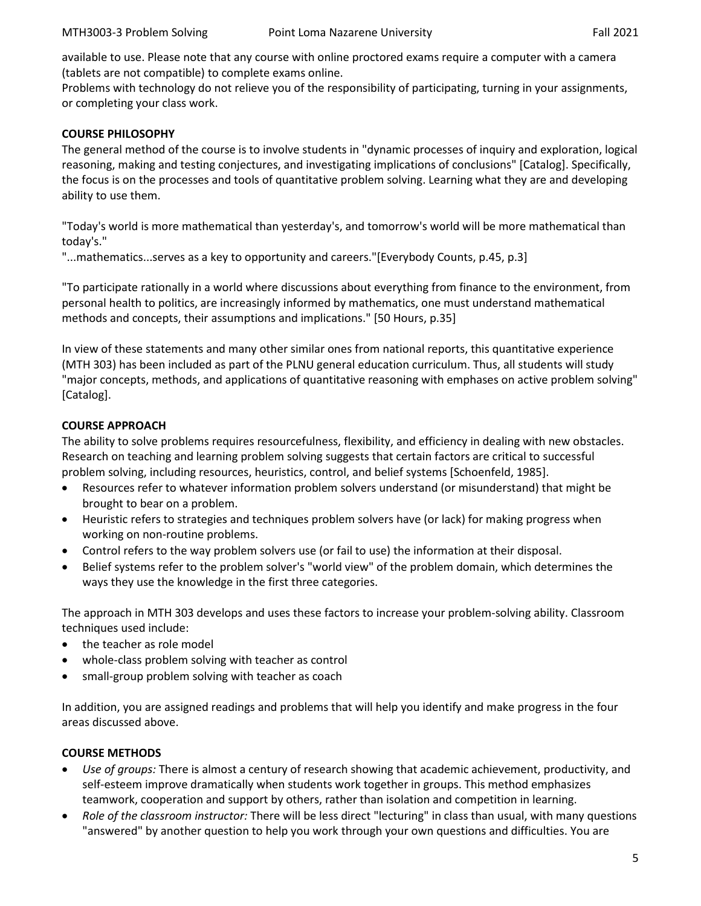available to use. Please note that any course with online proctored exams require a computer with a camera (tablets are not compatible) to complete exams online.

Problems with technology do not relieve you of the responsibility of participating, turning in your assignments, or completing your class work.

#### **COURSE PHILOSOPHY**

The general method of the course is to involve students in "dynamic processes of inquiry and exploration, logical reasoning, making and testing conjectures, and investigating implications of conclusions" [Catalog]. Specifically, the focus is on the processes and tools of quantitative problem solving. Learning what they are and developing ability to use them.

"Today's world is more mathematical than yesterday's, and tomorrow's world will be more mathematical than today's."

"...mathematics...serves as a key to opportunity and careers."[Everybody Counts, p.45, p.3]

"To participate rationally in a world where discussions about everything from finance to the environment, from personal health to politics, are increasingly informed by mathematics, one must understand mathematical methods and concepts, their assumptions and implications." [50 Hours, p.35]

In view of these statements and many other similar ones from national reports, this quantitative experience (MTH 303) has been included as part of the PLNU general education curriculum. Thus, all students will study "major concepts, methods, and applications of quantitative reasoning with emphases on active problem solving" [Catalog].

## **COURSE APPROACH**

The ability to solve problems requires resourcefulness, flexibility, and efficiency in dealing with new obstacles. Research on teaching and learning problem solving suggests that certain factors are critical to successful problem solving, including resources, heuristics, control, and belief systems [Schoenfeld, 1985].

- Resources refer to whatever information problem solvers understand (or misunderstand) that might be brought to bear on a problem.
- Heuristic refers to strategies and techniques problem solvers have (or lack) for making progress when working on non-routine problems.
- Control refers to the way problem solvers use (or fail to use) the information at their disposal.
- Belief systems refer to the problem solver's "world view" of the problem domain, which determines the ways they use the knowledge in the first three categories.

The approach in MTH 303 develops and uses these factors to increase your problem-solving ability. Classroom techniques used include:

- the teacher as role model
- whole-class problem solving with teacher as control
- small-group problem solving with teacher as coach

In addition, you are assigned readings and problems that will help you identify and make progress in the four areas discussed above.

#### **COURSE METHODS**

- *Use of groups:* There is almost a century of research showing that academic achievement, productivity, and self-esteem improve dramatically when students work together in groups. This method emphasizes teamwork, cooperation and support by others, rather than isolation and competition in learning.
- *Role of the classroom instructor:* There will be less direct "lecturing" in class than usual, with many questions "answered" by another question to help you work through your own questions and difficulties. You are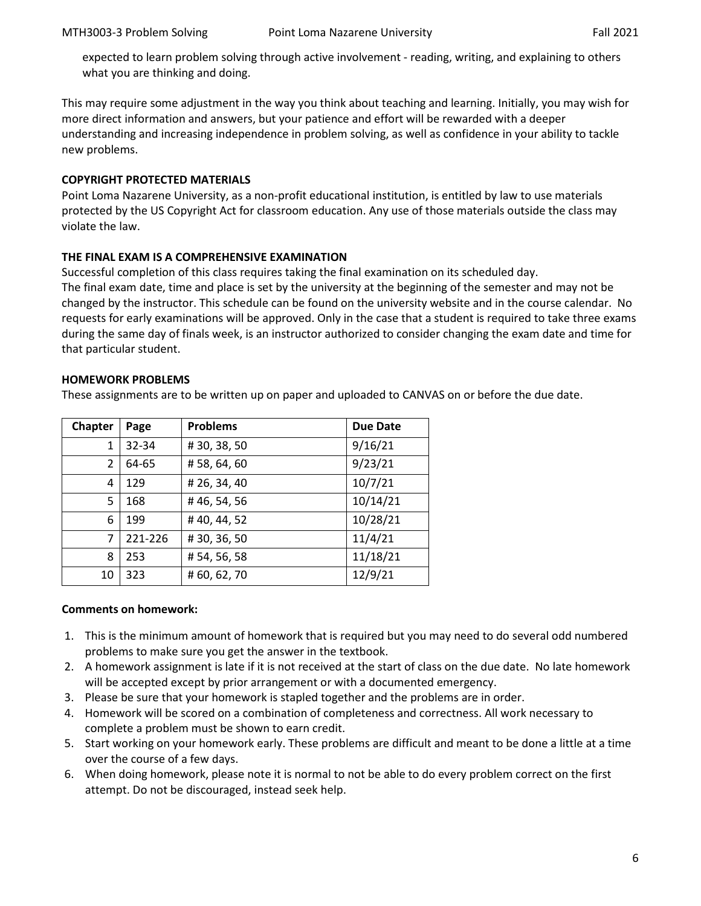expected to learn problem solving through active involvement - reading, writing, and explaining to others what you are thinking and doing.

This may require some adjustment in the way you think about teaching and learning. Initially, you may wish for more direct information and answers, but your patience and effort will be rewarded with a deeper understanding and increasing independence in problem solving, as well as confidence in your ability to tackle new problems.

#### **COPYRIGHT PROTECTED MATERIALS**

Point Loma Nazarene University, as a non-profit educational institution, is entitled by law to use materials protected by the US Copyright Act for classroom education. Any use of those materials outside the class may violate the law.

## **THE FINAL EXAM IS A COMPREHENSIVE EXAMINATION**

Successful completion of this class requires taking the final examination on its scheduled day. The final exam date, time and place is set by the university at the beginning of the semester and may not be changed by the instructor. This schedule can be found on the university website and in the course calendar. No requests for early examinations will be approved. Only in the case that a student is required to take three exams during the same day of finals week, is an instructor authorized to consider changing the exam date and time for that particular student.

## **HOMEWORK PROBLEMS**

These assignments are to be written up on paper and uploaded to CANVAS on or before the due date.

| <b>Chapter</b> | Page             | <b>Problems</b> | <b>Due Date</b> |  |
|----------------|------------------|-----------------|-----------------|--|
| 1              | 32-34            | #30,38,50       | 9/16/21         |  |
| 2              | 64-65            | #58,64,60       | 9/23/21         |  |
| 4              | 129              | # 26, 34, 40    | 10/7/21         |  |
| 5              | 168              | #46,54,56       | 10/14/21        |  |
| 6              | 199              | #40,44,52       | 10/28/21        |  |
| 7<br>221-226   |                  | #30,36,50       | 11/4/21         |  |
| 253<br>8       |                  | #54,56,58       | 11/18/21        |  |
| 10             | #60,62,70<br>323 |                 | 12/9/21         |  |

#### **Comments on homework:**

- 1. This is the minimum amount of homework that is required but you may need to do several odd numbered problems to make sure you get the answer in the textbook.
- 2. A homework assignment is late if it is not received at the start of class on the due date. No late homework will be accepted except by prior arrangement or with a documented emergency.
- 3. Please be sure that your homework is stapled together and the problems are in order.
- 4. Homework will be scored on a combination of completeness and correctness. All work necessary to complete a problem must be shown to earn credit.
- 5. Start working on your homework early. These problems are difficult and meant to be done a little at a time over the course of a few days.
- 6. When doing homework, please note it is normal to not be able to do every problem correct on the first attempt. Do not be discouraged, instead seek help.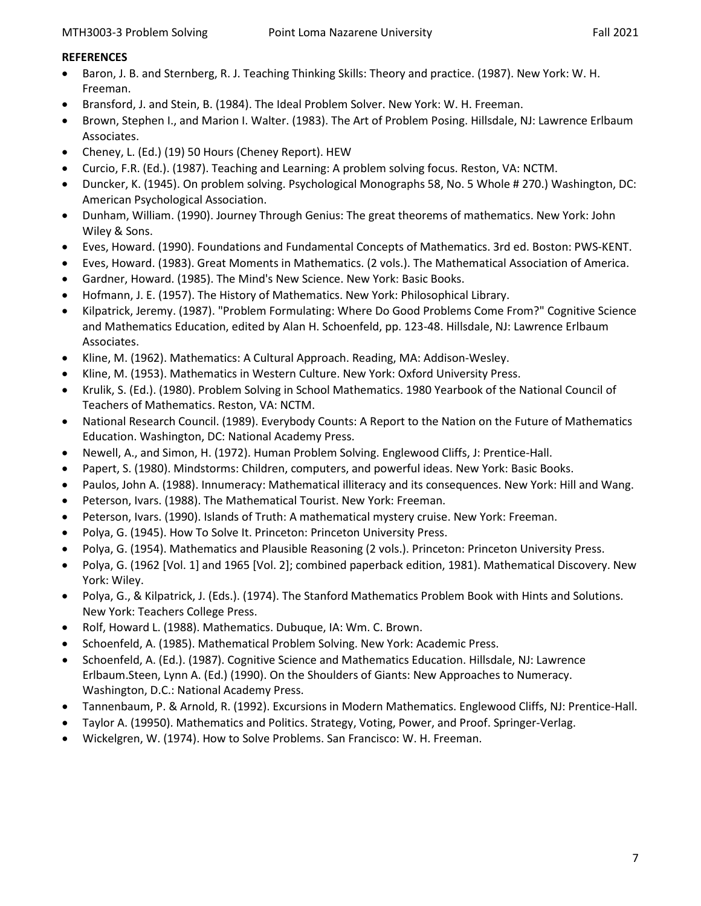#### **REFERENCES**

- Baron, J. B. and Sternberg, R. J. Teaching Thinking Skills: Theory and practice. (1987). New York: W. H. Freeman.
- Bransford, J. and Stein, B. (1984). The Ideal Problem Solver. New York: W. H. Freeman.
- Brown, Stephen I., and Marion I. Walter. (1983). The Art of Problem Posing. Hillsdale, NJ: Lawrence Erlbaum Associates.
- Cheney, L. (Ed.) (19) 50 Hours (Cheney Report). HEW
- Curcio, F.R. (Ed.). (1987). Teaching and Learning: A problem solving focus. Reston, VA: NCTM.
- Duncker, K. (1945). On problem solving. Psychological Monographs 58, No. 5 Whole # 270.) Washington, DC: American Psychological Association.
- Dunham, William. (1990). Journey Through Genius: The great theorems of mathematics. New York: John Wiley & Sons.
- Eves, Howard. (1990). Foundations and Fundamental Concepts of Mathematics. 3rd ed. Boston: PWS-KENT.
- Eves, Howard. (1983). Great Moments in Mathematics. (2 vols.). The Mathematical Association of America.
- Gardner, Howard. (1985). The Mind's New Science. New York: Basic Books.
- Hofmann, J. E. (1957). The History of Mathematics. New York: Philosophical Library.
- Kilpatrick, Jeremy. (1987). "Problem Formulating: Where Do Good Problems Come From?" Cognitive Science and Mathematics Education, edited by Alan H. Schoenfeld, pp. 123-48. Hillsdale, NJ: Lawrence Erlbaum Associates.
- Kline, M. (1962). Mathematics: A Cultural Approach. Reading, MA: Addison-Wesley.
- Kline, M. (1953). Mathematics in Western Culture. New York: Oxford University Press.
- Krulik, S. (Ed.). (1980). Problem Solving in School Mathematics. 1980 Yearbook of the National Council of Teachers of Mathematics. Reston, VA: NCTM.
- National Research Council. (1989). Everybody Counts: A Report to the Nation on the Future of Mathematics Education. Washington, DC: National Academy Press.
- Newell, A., and Simon, H. (1972). Human Problem Solving. Englewood Cliffs, J: Prentice-Hall.
- Papert, S. (1980). Mindstorms: Children, computers, and powerful ideas. New York: Basic Books.
- Paulos, John A. (1988). Innumeracy: Mathematical illiteracy and its consequences. New York: Hill and Wang.
- Peterson, Ivars. (1988). The Mathematical Tourist. New York: Freeman.
- Peterson, Ivars. (1990). Islands of Truth: A mathematical mystery cruise. New York: Freeman.
- Polya, G. (1945). How To Solve It. Princeton: Princeton University Press.
- Polya, G. (1954). Mathematics and Plausible Reasoning (2 vols.). Princeton: Princeton University Press.
- Polya, G. (1962 [Vol. 1] and 1965 [Vol. 2]; combined paperback edition, 1981). Mathematical Discovery. New York: Wiley.
- Polya, G., & Kilpatrick, J. (Eds.). (1974). The Stanford Mathematics Problem Book with Hints and Solutions. New York: Teachers College Press.
- Rolf, Howard L. (1988). Mathematics. Dubuque, IA: Wm. C. Brown.
- Schoenfeld, A. (1985). Mathematical Problem Solving. New York: Academic Press.
- Schoenfeld, A. (Ed.). (1987). Cognitive Science and Mathematics Education. Hillsdale, NJ: Lawrence Erlbaum.Steen, Lynn A. (Ed.) (1990). On the Shoulders of Giants: New Approaches to Numeracy. Washington, D.C.: National Academy Press.
- Tannenbaum, P. & Arnold, R. (1992). Excursions in Modern Mathematics. Englewood Cliffs, NJ: Prentice-Hall.
- Taylor A. (19950). Mathematics and Politics. Strategy, Voting, Power, and Proof. Springer-Verlag.
- Wickelgren, W. (1974). How to Solve Problems. San Francisco: W. H. Freeman.